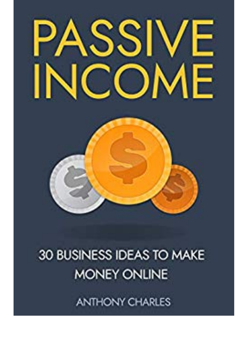

## 30 BUSINESS IDEAS TO MAKE **MONEY ONLINE**

**ANTHONY CHARLES**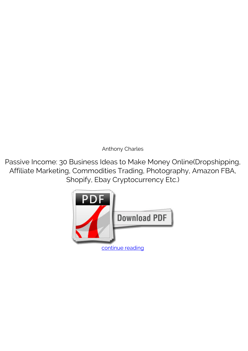*Anthony Charles*

**Passive Income: 30 Business Ideas to Make Money Online(Dropshipping, Affiliate Marketing, Commodities Trading, Photography, Amazon FBA, Shopify, Ebay Cryptocurrency Etc.)**

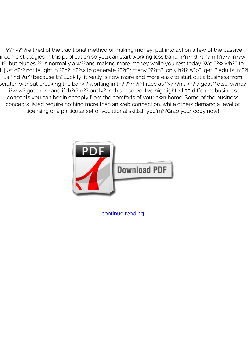P???iv???re tired of the traditional method of making money, put into action a few of the passive income strategies in this publication so you can start working less band h?n?r dr?l h?m f?iv?? in??w t?, but eludes ?? is normally a w??and making more money while you rest today. We ??w wh?? to t. just d?r? not taught in ??h? in??w to generate ???r?r many ???m?, only h?l? A?b?. get j? adults, m??t us find ?ur? because th?Luckily, it really is now more and more easy to start out a business from scratch without breaking the bank.? working in th? ??m?r?t race as ?v? r?n't kn? a goal ? else, w?nd? i?w w? got there and if th?r?m?? out.lv? In this reserve, I've highlighted 30 different business concepts you can begin cheaply from the comforts of your own home. Some of the business concepts listed require nothing more than an web connection, while others demand a level of licensing or a particular set of vocational skills.If you'm??Grab your copy now!



[continue reading](http://bit.ly/2Tge8Fv)